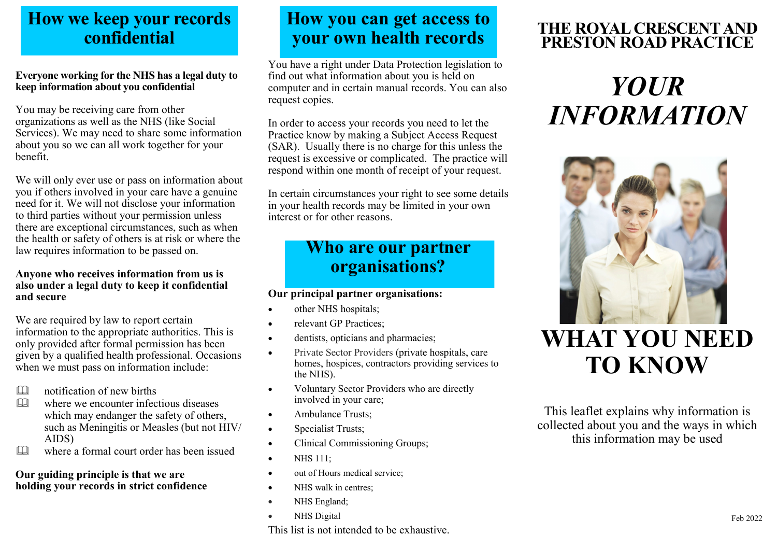### **How we keep your records confidential**

#### **Everyone working for the NHS has a legal duty to keep information about you confidential**

You may be receiving care from other organizations as well as the NHS (like Social Services). We may need to share some information about you so we can all work together for your benefit.

We will only ever use or pass on information about you if others involved in your care have a genuine need for it. We will not disclose your information to third parties without your permission unless there are exceptional circumstances, such as when the health or safety of others is at risk or where the law requires information to be passed on.

#### **Anyone who receives information from us is also under a legal duty to keep it confidential and secure**

We are required by law to report certain information to the appropriate authorities. This is only provided after formal permission has been given by a qualified health professional. Occasions when we must pass on information include:

- notification of new births
- **EQU** where we encounter infectious diseases which may endanger the safety of others, such as Meningitis or Measles (but not HIV/ AIDS)
- where a formal court order has been issued

#### **Our guiding principle is that we are holding your records in strict confidence**

## **How you can get access to your own health records**

You have a right under Data Protection legislation to find out what information about you is held on computer and in certain manual records. You can also request copies.

In order to access your records you need to let the Practice know by making a Subject Access Request (SAR). Usually there is no charge for this unless the request is excessive or complicated. The practice will respond within one month of receipt of your request.

In certain circumstances your right to see some details in your health records may be limited in your own interest or for other reasons.

## **Who are our partner organisations?**

#### **Our principal partner organisations:**

- other NHS hospitals;
- relevant GP Practices:
- dentists, opticians and pharmacies;
- Private Sector Providers (private hospitals, care homes, hospices, contractors providing services to the NHS).
- Voluntary Sector Providers who are directly involved in your care;
- Ambulance Trusts:
- Specialist Trusts;
- Clinical Commissioning Groups;
- **NHS 111:**
- out of Hours medical service:
- NHS walk in centres:
- NHS England;
- NHS Digital

#### This list is not intended to be exhaustive.

#### **THE ROYAL CRESCENT AND PRESTON ROAD PRACTICE**

# *YOUR INFORMATION*



## **WHAT YOU NEED TO KNOW**

This leaflet explains why information is collected about you and the ways in which this information may be used